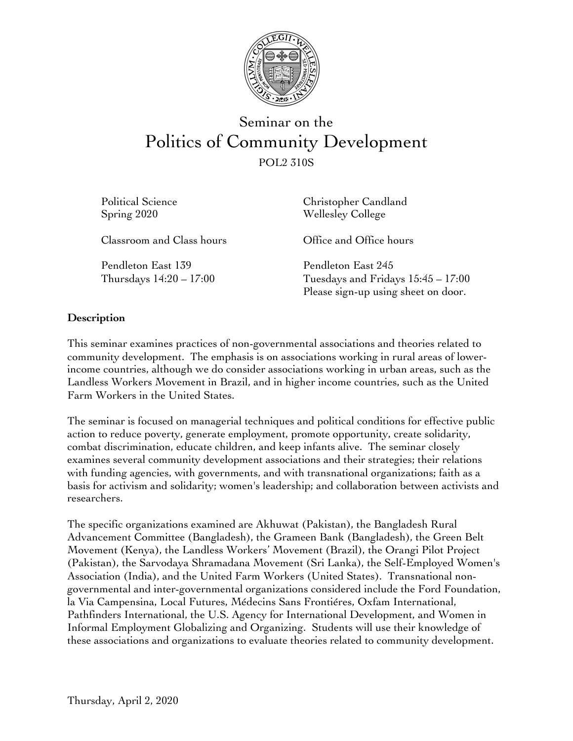

# Seminar on the Politics of Community Development POL2 310S

| Political Science<br>Spring 2020                | Christopher Candland<br><b>Wellesley College</b>                                                  |
|-------------------------------------------------|---------------------------------------------------------------------------------------------------|
| Classroom and Class hours                       | Office and Office hours                                                                           |
| Pendleton East 139<br>Thursdays $14:20 - 17:00$ | Pendleton East 245<br>Tuesdays and Fridays $15:45 - 17:00$<br>Please sign-up using sheet on door. |

## **Description**

This seminar examines practices of non-governmental associations and theories related to community development. The emphasis is on associations working in rural areas of lowerincome countries, although we do consider associations working in urban areas, such as the Landless Workers Movement in Brazil, and in higher income countries, such as the United Farm Workers in the United States.

The seminar is focused on managerial techniques and political conditions for effective public action to reduce poverty, generate employment, promote opportunity, create solidarity, combat discrimination, educate children, and keep infants alive. The seminar closely examines several community development associations and their strategies; their relations with funding agencies, with governments, and with transnational organizations; faith as a basis for activism and solidarity; women's leadership; and collaboration between activists and researchers.

The specific organizations examined are Akhuwat (Pakistan), the Bangladesh Rural Advancement Committee (Bangladesh), the Grameen Bank (Bangladesh), the Green Belt Movement (Kenya), the Landless Workers' Movement (Brazil), the Orangi Pilot Project (Pakistan), the Sarvodaya Shramadana Movement (Sri Lanka), the Self-Employed Women's Association (India), and the United Farm Workers (United States). Transnational nongovernmental and inter-governmental organizations considered include the Ford Foundation, la Via Campensina, Local Futures, Médecins Sans Frontiéres, Oxfam International, Pathfinders International, the U.S. Agency for International Development, and Women in Informal Employment Globalizing and Organizing. Students will use their knowledge of these associations and organizations to evaluate theories related to community development.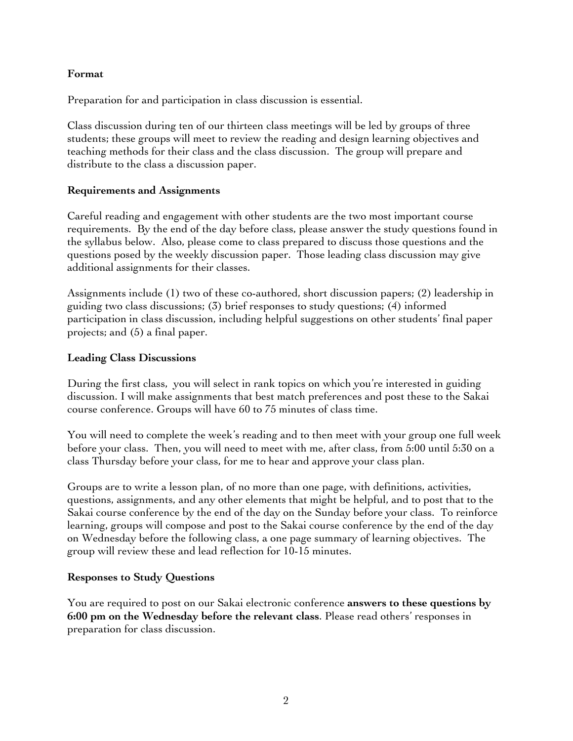## **Format**

Preparation for and participation in class discussion is essential.

Class discussion during ten of our thirteen class meetings will be led by groups of three students; these groups will meet to review the reading and design learning objectives and teaching methods for their class and the class discussion. The group will prepare and distribute to the class a discussion paper.

## **Requirements and Assignments**

Careful reading and engagement with other students are the two most important course requirements. By the end of the day before class, please answer the study questions found in the syllabus below. Also, please come to class prepared to discuss those questions and the questions posed by the weekly discussion paper. Those leading class discussion may give additional assignments for their classes.

Assignments include (1) two of these co-authored, short discussion papers; (2) leadership in guiding two class discussions; (3) brief responses to study questions; (4) informed participation in class discussion, including helpful suggestions on other students' final paper projects; and (5) a final paper.

## **Leading Class Discussions**

During the first class, you will select in rank topics on which you're interested in guiding discussion. I will make assignments that best match preferences and post these to the Sakai course conference. Groups will have 60 to 75 minutes of class time.

You will need to complete the week's reading and to then meet with your group one full week before your class. Then, you will need to meet with me, after class, from 5:00 until 5:30 on a class Thursday before your class, for me to hear and approve your class plan.

Groups are to write a lesson plan, of no more than one page, with definitions, activities, questions, assignments, and any other elements that might be helpful, and to post that to the Sakai course conference by the end of the day on the Sunday before your class. To reinforce learning, groups will compose and post to the Sakai course conference by the end of the day on Wednesday before the following class, a one page summary of learning objectives. The group will review these and lead reflection for 10-15 minutes.

## **Responses to Study Questions**

You are required to post on our Sakai electronic conference **answers to these questions by 6:00 pm on the Wednesday before the relevant class**. Please read others' responses in preparation for class discussion.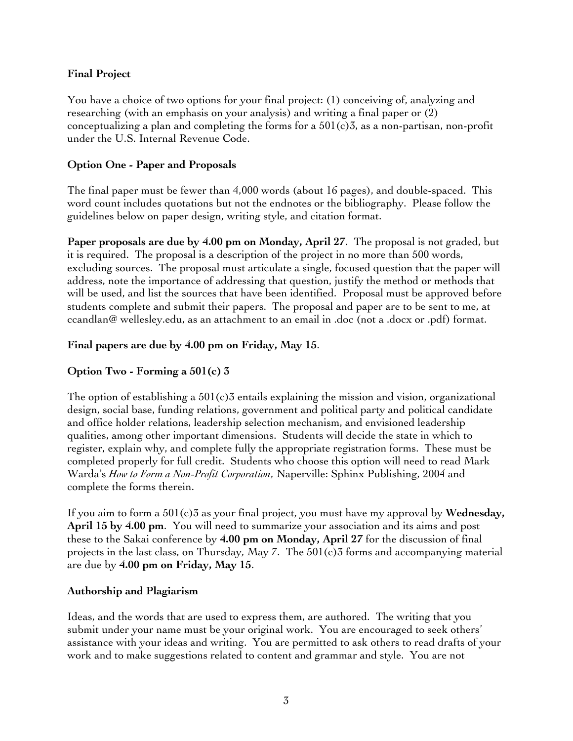## **Final Project**

You have a choice of two options for your final project: (1) conceiving of, analyzing and researching (with an emphasis on your analysis) and writing a final paper or (2) conceptualizing a plan and completing the forms for a  $501(c)3$ , as a non-partisan, non-profit under the U.S. Internal Revenue Code.

## **Option One - Paper and Proposals**

The final paper must be fewer than 4,000 words (about 16 pages), and double-spaced. This word count includes quotations but not the endnotes or the bibliography. Please follow the guidelines below on paper design, writing style, and citation format.

**Paper proposals are due by 4.00 pm on Monday, April 27**. The proposal is not graded, but it is required. The proposal is a description of the project in no more than 500 words, excluding sources. The proposal must articulate a single, focused question that the paper will address, note the importance of addressing that question, justify the method or methods that will be used, and list the sources that have been identified. Proposal must be approved before students complete and submit their papers. The proposal and paper are to be sent to me, at ccandlan@ wellesley.edu, as an attachment to an email in .doc (not a .docx or .pdf) format.

## **Final papers are due by 4.00 pm on Friday, May 15**.

## **Option Two - Forming a 501(c) 3**

The option of establishing a  $501(c)3$  entails explaining the mission and vision, organizational design, social base, funding relations, government and political party and political candidate and office holder relations, leadership selection mechanism, and envisioned leadership qualities, among other important dimensions. Students will decide the state in which to register, explain why, and complete fully the appropriate registration forms. These must be completed properly for full credit. Students who choose this option will need to read Mark Warda's *How to Form a Non-Profit Corporation*, Naperville: Sphinx Publishing, 2004 and complete the forms therein.

If you aim to form a 501(c)3 as your final project, you must have my approval by **Wednesday, April 15 by 4.00 pm**. You will need to summarize your association and its aims and post these to the Sakai conference by **4.00 pm on Monday, April 27** for the discussion of final projects in the last class, on Thursday, May 7. The 501(c)3 forms and accompanying material are due by **4.00 pm on Friday, May 15**.

## **Authorship and Plagiarism**

Ideas, and the words that are used to express them, are authored. The writing that you submit under your name must be your original work. You are encouraged to seek others' assistance with your ideas and writing. You are permitted to ask others to read drafts of your work and to make suggestions related to content and grammar and style. You are not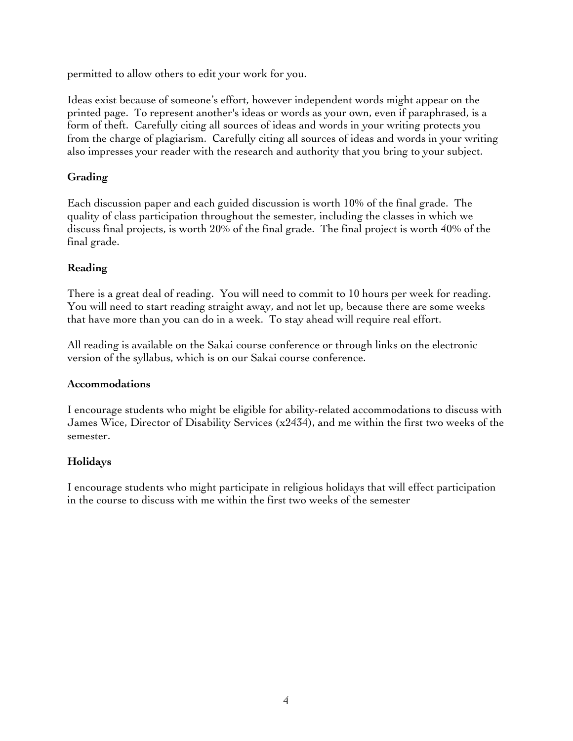permitted to allow others to edit your work for you.

Ideas exist because of someone's effort, however independent words might appear on the printed page. To represent another's ideas or words as your own, even if paraphrased, is a form of theft. Carefully citing all sources of ideas and words in your writing protects you from the charge of plagiarism. Carefully citing all sources of ideas and words in your writing also impresses your reader with the research and authority that you bring to your subject.

## **Grading**

Each discussion paper and each guided discussion is worth 10% of the final grade. The quality of class participation throughout the semester, including the classes in which we discuss final projects, is worth 20% of the final grade. The final project is worth 40% of the final grade.

# **Reading**

There is a great deal of reading. You will need to commit to 10 hours per week for reading. You will need to start reading straight away, and not let up, because there are some weeks that have more than you can do in a week. To stay ahead will require real effort.

All reading is available on the Sakai course conference or through links on the electronic version of the syllabus, which is on our Sakai course conference.

## **Accommodations**

I encourage students who might be eligible for ability-related accommodations to discuss with James Wice, Director of Disability Services  $(x2434)$ , and me within the first two weeks of the semester.

## **Holidays**

I encourage students who might participate in religious holidays that will effect participation in the course to discuss with me within the first two weeks of the semester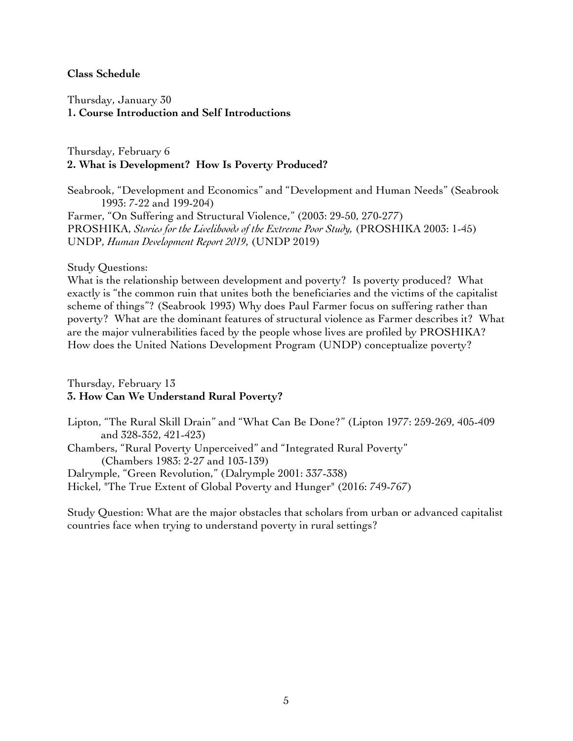#### **Class Schedule**

Thursday, January 30 **1. Course Introduction and Self Introductions**

Thursday, February 6 **2. What is Development? How Is Poverty Produced?**

Seabrook, "Development and Economics" and "Development and Human Needs" (Seabrook 1993: 7-22 and 199-204) Farmer, "On Suffering and Structural Violence," (2003: 29-50, 270-277) PROSHIKA, *Stories for the Livelihoods of the Extreme Poor Study,* (PROSHIKA 2003: 1-45) UNDP, *Human Development Report 2019*, (UNDP 2019)

Study Questions:

What is the relationship between development and poverty? Is poverty produced? What exactly is "the common ruin that unites both the beneficiaries and the victims of the capitalist scheme of things"? (Seabrook 1993) Why does Paul Farmer focus on suffering rather than poverty? What are the dominant features of structural violence as Farmer describes it? What are the major vulnerabilities faced by the people whose lives are profiled by PROSHIKA? How does the United Nations Development Program (UNDP) conceptualize poverty?

Thursday, February 13 **3. How Can We Understand Rural Poverty?**

Lipton, "The Rural Skill Drain" and "What Can Be Done?" (Lipton 1977: 259-269, 405-409 and 328-352, 421-423) Chambers, "Rural Poverty Unperceived" and "Integrated Rural Poverty" (Chambers 1983: 2-27 and 103-139) Dalrymple, "Green Revolution," (Dalrymple 2001: 337-338) Hickel, "The True Extent of Global Poverty and Hunger" (2016: 749-767)

Study Question: What are the major obstacles that scholars from urban or advanced capitalist countries face when trying to understand poverty in rural settings?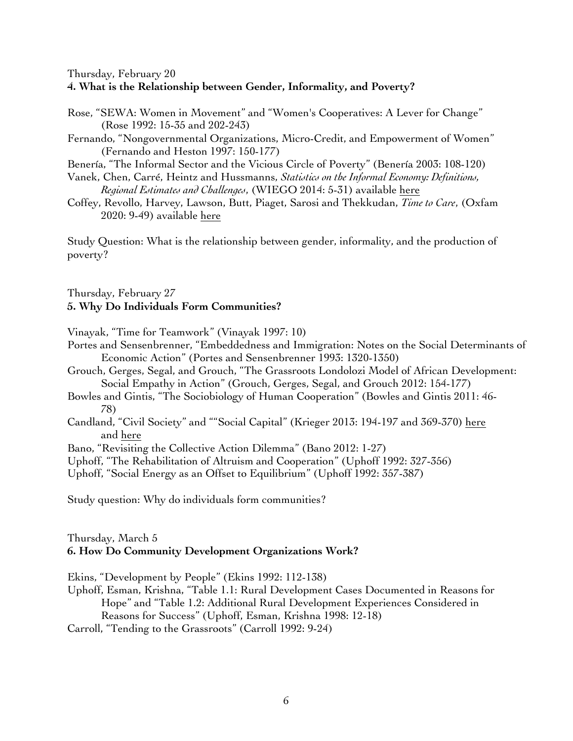Thursday, February 20

#### **4. What is the Relationship between Gender, Informality, and Poverty?**

- Rose, "SEWA: Women in Movement" and "Women's Cooperatives: A Lever for Change" (Rose 1992: 15-35 and 202-243)
- Fernando, "Nongovernmental Organizations, Micro-Credit, and Empowerment of Women" (Fernando and Heston 1997: 150-177)
- Benería, "The Informal Sector and the Vicious Circle of Poverty" (Benería 2003: 108-120)
- Vanek, Chen, Carré, Heintz and Hussmanns, *Statistics on the Informal Economy: Definitions, Regional Estimates and Challenges*, (WIEGO 2014: 5-31) available here
- Coffey, Revollo, Harvey, Lawson, Butt, Piaget, Sarosi and Thekkudan, *Time to Care*, (Oxfam 2020: 9-49) available here

Study Question: What is the relationship between gender, informality, and the production of poverty?

Thursday, February 27 **5. Why Do Individuals Form Communities?**

Vinayak, "Time for Teamwork" (Vinayak 1997: 10)

- Portes and Sensenbrenner, "Embeddedness and Immigration: Notes on the Social Determinants of Economic Action" (Portes and Sensenbrenner 1993: 1320-1350)
- Grouch, Gerges, Segal, and Grouch, "The Grassroots Londolozi Model of African Development: Social Empathy in Action" (Grouch, Gerges, Segal, and Grouch 2012: 154-177)
- Bowles and Gintis, "The Sociobiology of Human Cooperation" (Bowles and Gintis 2011: 46- 78)
- Candland, "Civil Society" and ""Social Capital" (Krieger 2013: 194-197 and 369-370) here and here

Bano, "Revisiting the Collective Action Dilemma" (Bano 2012: 1-27)

Uphoff, "The Rehabilitation of Altruism and Cooperation" (Uphoff 1992: 327-356)

Uphoff, "Social Energy as an Offset to Equilibrium" (Uphoff 1992: 357-387)

Study question: Why do individuals form communities?

## Thursday, March 5 **6. How Do Community Development Organizations Work?**

Ekins, "Development by People" (Ekins 1992: 112-138)

- Uphoff, Esman, Krishna, "Table 1.1: Rural Development Cases Documented in Reasons for Hope" and "Table 1.2: Additional Rural Development Experiences Considered in Reasons for Success" (Uphoff, Esman, Krishna 1998: 12-18)
- Carroll, "Tending to the Grassroots" (Carroll 1992: 9-24)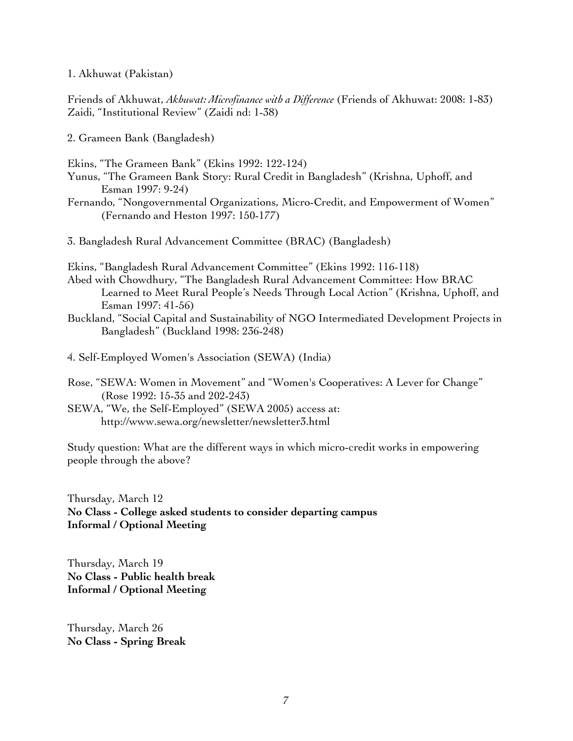1. Akhuwat (Pakistan)

Friends of Akhuwat, *Akhuwat: Microfinance with a Difference* (Friends of Akhuwat: 2008: 1-83) Zaidi, "Institutional Review" (Zaidi nd: 1-38)

2. Grameen Bank (Bangladesh)

Ekins, "The Grameen Bank" (Ekins 1992: 122-124)

- Yunus, "The Grameen Bank Story: Rural Credit in Bangladesh" (Krishna, Uphoff, and Esman 1997: 9-24)
- Fernando, "Nongovernmental Organizations, Micro-Credit, and Empowerment of Women" (Fernando and Heston 1997: 150-177)

3. Bangladesh Rural Advancement Committee (BRAC) (Bangladesh)

Ekins, "Bangladesh Rural Advancement Committee" (Ekins 1992: 116-118)

- Abed with Chowdhury, "The Bangladesh Rural Advancement Committee: How BRAC Learned to Meet Rural People's Needs Through Local Action" (Krishna, Uphoff, and Esman 1997: 41-56)
- Buckland, "Social Capital and Sustainability of NGO Intermediated Development Projects in Bangladesh" (Buckland 1998: 236-248)

4. Self-Employed Women's Association (SEWA) (India)

- Rose, "SEWA: Women in Movement" and "Women's Cooperatives: A Lever for Change" (Rose 1992: 15-35 and 202-243)
- SEWA, "We, the Self-Employed" (SEWA 2005) access at: http://www.sewa.org/newsletter/newsletter3.html

Study question: What are the different ways in which micro-credit works in empowering people through the above?

Thursday, March 12 **No Class - College asked students to consider departing campus Informal / Optional Meeting**

Thursday, March 19 **No Class - Public health break Informal / Optional Meeting**

Thursday, March 26 **No Class - Spring Break**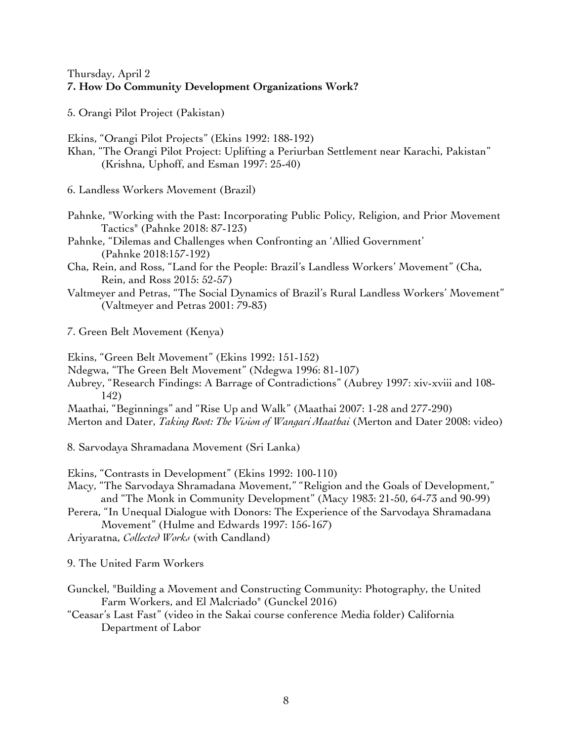## Thursday, April 2 **7. How Do Community Development Organizations Work?**

5. Orangi Pilot Project (Pakistan)

Ekins, "Orangi Pilot Projects" (Ekins 1992: 188-192)

Khan, "The Orangi Pilot Project: Uplifting a Periurban Settlement near Karachi, Pakistan" (Krishna, Uphoff, and Esman 1997: 25-40)

6. Landless Workers Movement (Brazil)

Pahnke, "Working with the Past: Incorporating Public Policy, Religion, and Prior Movement Tactics" (Pahnke 2018: 87-123)

Pahnke, "Dilemas and Challenges when Confronting an 'Allied Government' (Pahnke 2018:157-192)

- Cha, Rein, and Ross, "Land for the People: Brazil's Landless Workers' Movement" (Cha, Rein, and Ross 2015: 52-57)
- Valtmeyer and Petras, "The Social Dynamics of Brazil's Rural Landless Workers' Movement" (Valtmeyer and Petras 2001: 79-83)
- 7. Green Belt Movement (Kenya)

Ekins, "Green Belt Movement" (Ekins 1992: 151-152)

Ndegwa, "The Green Belt Movement" (Ndegwa 1996: 81-107)

Aubrey, "Research Findings: A Barrage of Contradictions" (Aubrey 1997: xiv-xviii and 108- 142)

Maathai, "Beginnings" and "Rise Up and Walk" (Maathai 2007: 1-28 and 277-290)

Merton and Dater, *Taking Root: The Vision of Wangari Maathai* (Merton and Dater 2008: video)

8. Sarvodaya Shramadana Movement (Sri Lanka)

Ekins, "Contrasts in Development" (Ekins 1992: 100-110)

Macy, "The Sarvodaya Shramadana Movement," "Religion and the Goals of Development," and "The Monk in Community Development" (Macy 1983: 21-50, 64-73 and 90-99)

Perera, "In Unequal Dialogue with Donors: The Experience of the Sarvodaya Shramadana Movement" (Hulme and Edwards 1997: 156-167)

Ariyaratna, *Collected Works* (with Candland)

9. The United Farm Workers

- Gunckel, "Building a Movement and Constructing Community: Photography, the United Farm Workers, and El Malcriado" (Gunckel 2016)
- "Ceasar's Last Fast" (video in the Sakai course conference Media folder) California Department of Labor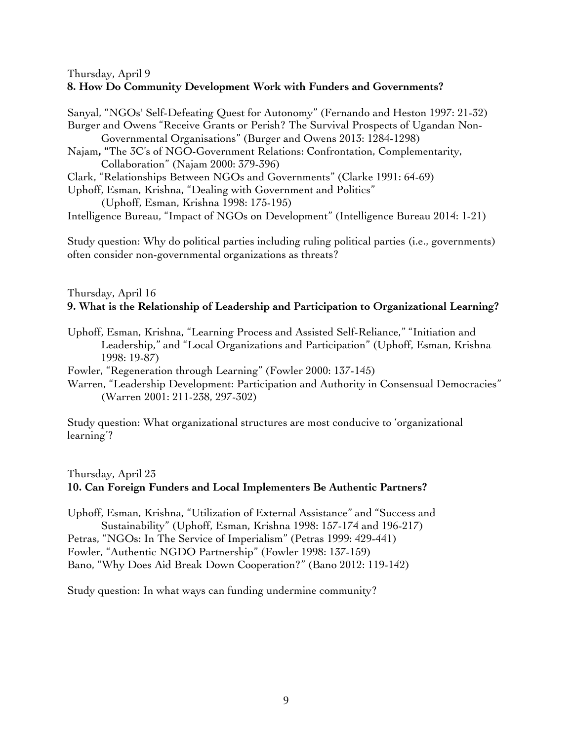#### Thursday, April 9 **8. How Do Community Development Work with Funders and Governments?**

Sanyal, "NGOs' Self-Defeating Quest for Autonomy" (Fernando and Heston 1997: 21-32) Burger and Owens "Receive Grants or Perish? The Survival Prospects of Ugandan Non-Governmental Organisations" (Burger and Owens 2013: 1284-1298) Najam**, "**The 3C's of NGO-Government Relations: Confrontation, Complementarity, Collaboration" (Najam 2000: 379-396) Clark, "Relationships Between NGOs and Governments" (Clarke 1991: 64-69) Uphoff, Esman, Krishna, "Dealing with Government and Politics" (Uphoff, Esman, Krishna 1998: 175-195)

Intelligence Bureau, "Impact of NGOs on Development" (Intelligence Bureau 2014: 1-21)

Study question: Why do political parties including ruling political parties (i.e., governments) often consider non-governmental organizations as threats?

## Thursday, April 16 **9. What is the Relationship of Leadership and Participation to Organizational Learning?**

- Uphoff, Esman, Krishna, "Learning Process and Assisted Self-Reliance," "Initiation and Leadership," and "Local Organizations and Participation" (Uphoff, Esman, Krishna 1998: 19-87)
- Fowler, "Regeneration through Learning" (Fowler 2000: 137-145)
- Warren, "Leadership Development: Participation and Authority in Consensual Democracies" (Warren 2001: 211-238, 297-302)

Study question: What organizational structures are most conducive to 'organizational learning'?

## Thursday, April 23 **10. Can Foreign Funders and Local Implementers Be Authentic Partners?**

Uphoff, Esman, Krishna, "Utilization of External Assistance" and "Success and Sustainability" (Uphoff, Esman, Krishna 1998: 157-174 and 196-217) Petras, "NGOs: In The Service of Imperialism" (Petras 1999: 429-441) Fowler, "Authentic NGDO Partnership" (Fowler 1998: 137-159) Bano, "Why Does Aid Break Down Cooperation?" (Bano 2012: 119-142)

Study question: In what ways can funding undermine community?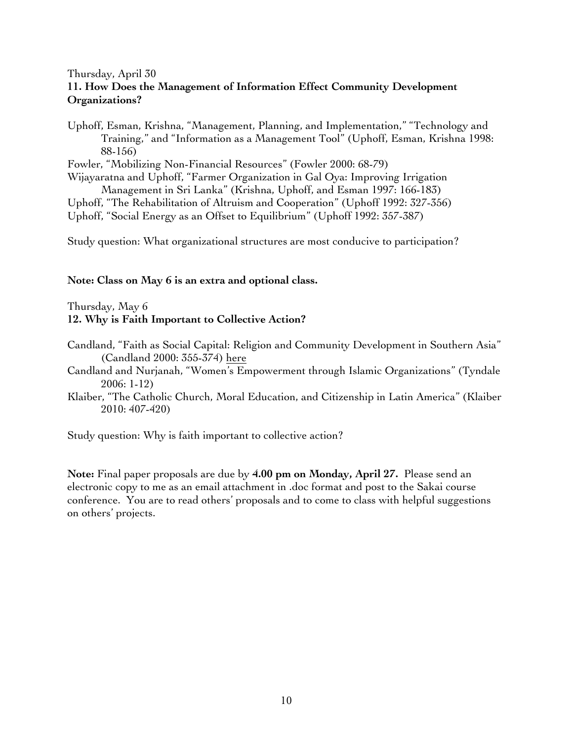## Thursday, April 30 **11. How Does the Management of Information Effect Community Development Organizations?**

Uphoff, Esman, Krishna, "Management, Planning, and Implementation," "Technology and Training," and "Information as a Management Tool" (Uphoff, Esman, Krishna 1998: 88-156)

Fowler, "Mobilizing Non-Financial Resources" (Fowler 2000: 68-79)

Wijayaratna and Uphoff, "Farmer Organization in Gal Oya: Improving Irrigation Management in Sri Lanka" (Krishna, Uphoff, and Esman 1997: 166-183)

Uphoff, "The Rehabilitation of Altruism and Cooperation" (Uphoff 1992: 327-356)

Uphoff, "Social Energy as an Offset to Equilibrium" (Uphoff 1992: 357-387)

Study question: What organizational structures are most conducive to participation?

## **Note: Class on May 6 is an extra and optional class.**

## Thursday, May 6 **12. Why is Faith Important to Collective Action?**

- Candland, "Faith as Social Capital: Religion and Community Development in Southern Asia" (Candland 2000: 355-374) here
- Candland and Nurjanah, "Women's Empowerment through Islamic Organizations" (Tyndale 2006: 1-12)
- Klaiber, "The Catholic Church, Moral Education, and Citizenship in Latin America" (Klaiber 2010: 407-420)

Study question: Why is faith important to collective action?

**Note:** Final paper proposals are due by **4.00 pm on Monday, April 27.** Please send an electronic copy to me as an email attachment in .doc format and post to the Sakai course conference. You are to read others' proposals and to come to class with helpful suggestions on others' projects.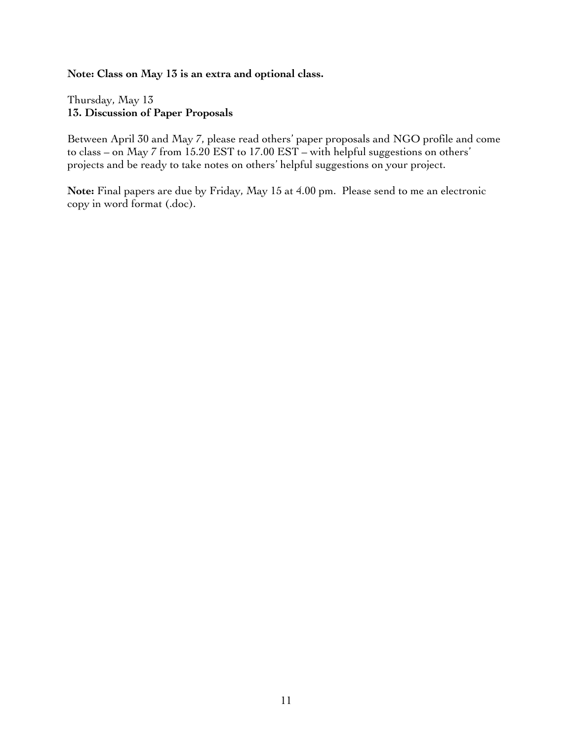#### **Note: Class on May 13 is an extra and optional class.**

Thursday, May 13 **13. Discussion of Paper Proposals** 

Between April 30 and May 7, please read others' paper proposals and NGO profile and come to class – on May 7 from 15.20 EST to 17.00 EST – with helpful suggestions on others' projects and be ready to take notes on others' helpful suggestions on your project.

**Note:** Final papers are due by Friday, May 15 at 4.00 pm. Please send to me an electronic copy in word format (.doc).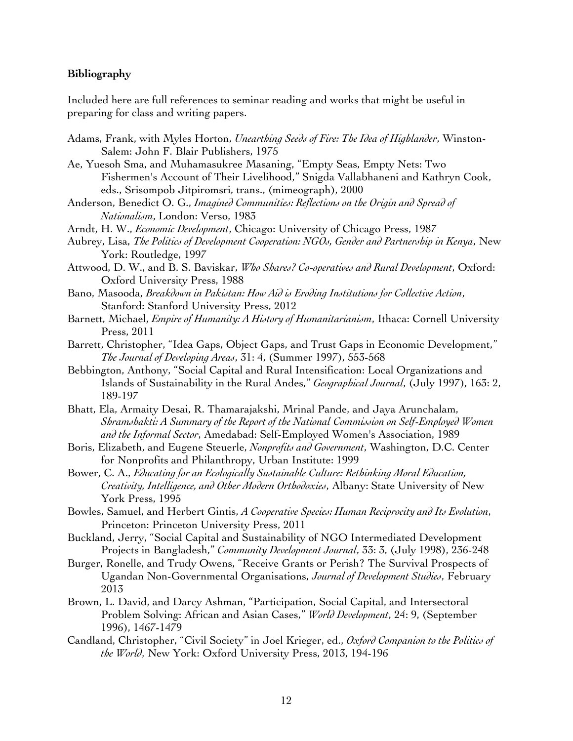#### **Bibliography**

Included here are full references to seminar reading and works that might be useful in preparing for class and writing papers.

- Adams, Frank, with Myles Horton, *Unearthing Seeds of Fire: The Idea of Highlander*, Winston-Salem: John F. Blair Publishers, 1975
- Ae, Yuesoh Sma, and Muhamasukree Masaning, "Empty Seas, Empty Nets: Two Fishermen's Account of Their Livelihood," Snigda Vallabhaneni and Kathryn Cook, eds., Srisompob Jitpiromsri, trans., (mimeograph), 2000
- Anderson, Benedict O. G., *Imagined Communities: Reflections on the Origin and Spread of Nationalism*, London: Verso, 1983
- Arndt, H. W., *Economic Development*, Chicago: University of Chicago Press, 1987
- Aubrey, Lisa, *The Politics of Development Cooperation: NGOs, Gender and Partnership in Kenya*, New York: Routledge, 1997
- Attwood, D. W., and B. S. Baviskar, *Who Shares? Co-operatives and Rural Development*, Oxford: Oxford University Press, 1988
- Bano, Masooda, *Breakdown in Pakistan: How Aid is Eroding Institutions for Collective Action*, Stanford: Stanford University Press, 2012
- Barnett, Michael, *Empire of Humanity: A History of Humanitarianism*, Ithaca: Cornell University Press, 2011
- Barrett, Christopher, "Idea Gaps, Object Gaps, and Trust Gaps in Economic Development," *The Journal of Developing Areas*, 31: 4, (Summer 1997), 553-568
- Bebbington, Anthony, "Social Capital and Rural Intensification: Local Organizations and Islands of Sustainability in the Rural Andes," *Geographical Journal*, (July 1997), 163: 2, 189-197
- Bhatt, Ela, Armaity Desai, R. Thamarajakshi, Mrinal Pande, and Jaya Arunchalam, *Shramshakti: A Summary of the Report of the National Commission on Self-Employed Women and the Informal Sector*, Amedabad: Self-Employed Women's Association, 1989
- Boris, Elizabeth, and Eugene Steuerle, *Nonprofits and Government*, Washington, D.C. Center for Nonprofits and Philanthropy, Urban Institute: 1999
- Bower, C. A., *Educating for an Ecologically Sustainable Culture: Rethinking Moral Education, Creativity, Intelligence, and Other Modern Orthodoxies*, Albany: State University of New York Press, 1995
- Bowles, Samuel, and Herbert Gintis, *A Cooperative Species: Human Reciprocity and Its Evolution*, Princeton: Princeton University Press, 2011
- Buckland, Jerry, "Social Capital and Sustainability of NGO Intermediated Development Projects in Bangladesh," *Community Development Journal*, 33: 3, (July 1998), 236-248
- Burger, Ronelle, and Trudy Owens, "Receive Grants or Perish? The Survival Prospects of Ugandan Non-Governmental Organisations, *Journal of Development Studies*, February 2013
- Brown, L. David, and Darcy Ashman, "Participation, Social Capital, and Intersectoral Problem Solving: African and Asian Cases," *World Development*, 24: 9, (September 1996), 1467-1479
- Candland, Christopher, "Civil Society" in Joel Krieger, ed., *Oxford Companion to the Politics of the World*, New York: Oxford University Press, 2013, 194-196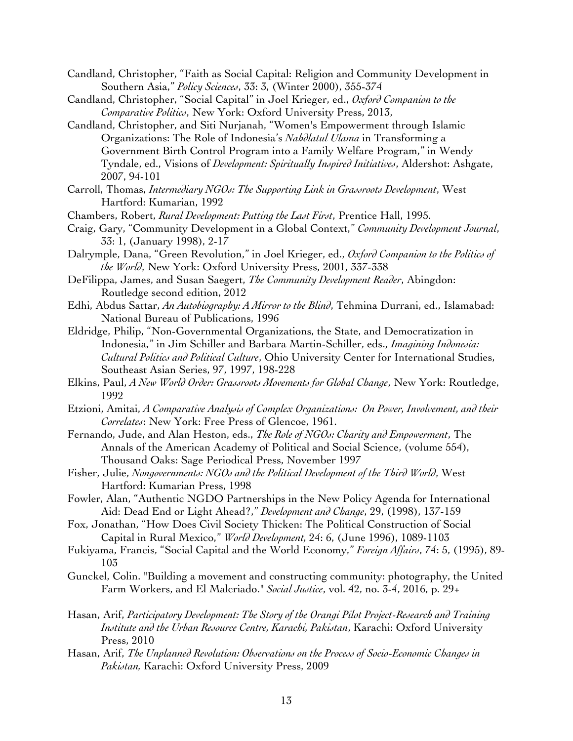- Candland, Christopher, "Faith as Social Capital: Religion and Community Development in Southern Asia," *Policy Sciences*, 33: 3, (Winter 2000), 355-374
- Candland, Christopher, "Social Capital" in Joel Krieger, ed., *Oxford Companion to the Comparative Politics*, New York: Oxford University Press, 2013,
- Candland, Christopher, and Siti Nurjanah, "Women's Empowerment through Islamic Organizations: The Role of Indonesia's *Nahdlatul Ulama* in Transforming a Government Birth Control Program into a Family Welfare Program," in Wendy Tyndale, ed., Visions of *Development: Spiritually Inspired Initiatives*, Aldershot: Ashgate, 2007, 94-101
- Carroll, Thomas, *Intermediary NGOs: The Supporting Link in Grassroots Development*, West Hartford: Kumarian, 1992
- Chambers, Robert, *Rural Development: Putting the Last First*, Prentice Hall, 1995.
- Craig, Gary, "Community Development in a Global Context," *Community Development Journal*, 33: 1, (January 1998), 2-17
- Dalrymple, Dana, "Green Revolution," in Joel Krieger, ed., *Oxford Companion to the Politics of the World*, New York: Oxford University Press, 2001, 337-338
- DeFilippa, James, and Susan Saegert, *The Community Development Reader*, Abingdon: Routledge second edition, 2012
- Edhi, Abdus Sattar, *An Autobiography: A Mirror to the Blind*, Tehmina Durrani, ed., Islamabad: National Bureau of Publications, 1996
- Eldridge, Philip, "Non-Governmental Organizations, the State, and Democratization in Indonesia," in Jim Schiller and Barbara Martin-Schiller, eds., *Imagining Indonesia: Cultural Politics and Political Culture*, Ohio University Center for International Studies, Southeast Asian Series, 97, 1997, 198-228
- Elkins, Paul, *A New World Order: Grassroots Movements for Global Change*, New York: Routledge, 1992
- Etzioni, Amitai, *A Comparative Analysis of Complex Organizations: On Power, Involvement, and their Correlates*: New York: Free Press of Glencoe, 1961.
- Fernando, Jude, and Alan Heston, eds., *The Role of NGOs: Charity and Empowerment*, The Annals of the American Academy of Political and Social Science, (volume 554), Thousand Oaks: Sage Periodical Press, November 1997
- Fisher, Julie, *Nongovernments: NGOs and the Political Development of the Third World*, West Hartford: Kumarian Press, 1998
- Fowler, Alan, "Authentic NGDO Partnerships in the New Policy Agenda for International Aid: Dead End or Light Ahead?," *Development and Change*, 29, (1998), 137-159
- Fox, Jonathan, "How Does Civil Society Thicken: The Political Construction of Social Capital in Rural Mexico," *World Development,* 24: 6, (June 1996), 1089-1103
- Fukiyama, Francis, "Social Capital and the World Economy," *Foreign Affairs*, 74: 5, (1995), 89- 103
- Gunckel, Colin. "Building a movement and constructing community: photography, the United Farm Workers, and El Malcriado." *Social Justice*, vol. 42, no. 3-4, 2016, p. 29+
- Hasan, Arif, *Participatory Development: The Story of the Orangi Pilot Project-Research and Training Institute and the Urban Resource Centre, Karachi, Pakistan*, Karachi: Oxford University Press, 2010
- Hasan, Arif, *The Unplanned Revolution: Observations on the Process of Socio-Economic Changes in Pakistan,* Karachi: Oxford University Press, 2009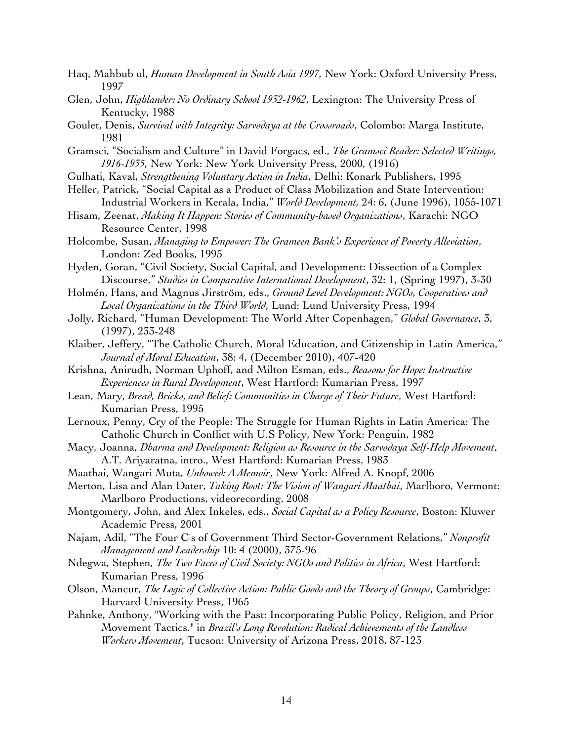- Haq, Mahbub ul, *Human Development in South Asia 1997*, New York: Oxford University Press, 1997
- Glen, John, *Highlander: No Ordinary School 1932-1962*, Lexington: The University Press of Kentucky, 1988
- Goulet, Denis, *Survival with Integrity: Sarvodaya at the Crossroads*, Colombo: Marga Institute, 1981
- Gramsci, "Socialism and Culture" in David Forgacs, ed., *The Gramsci Reader: Selected Writings, 1916-1935*, New York: New York University Press, 2000, (1916)
- Gulhati, Kaval, *Strengthening Voluntary Action in India*, Delhi: Konark Publishers, 1995
- Heller, Patrick, "Social Capital as a Product of Class Mobilization and State Intervention: Industrial Workers in Kerala, India," *World Development,* 24: 6, (June 1996), 1055-1071
- Hisam, Zeenat, *Making It Happen: Stories of Community-based Organizations*, Karachi: NGO Resource Center, 1998
- Holcombe, Susan, *Managing to Empower: The Grameen Bank's Experience of Poverty Alleviation*, London: Zed Books, 1995
- Hyden, Goran, "Civil Society, Social Capital, and Development: Dissection of a Complex Discourse," *Studies in Comparative International Development*, 32: 1, (Spring 1997), 3-30
- Holmén, Hans, and Magnus Jirström, eds., *Ground Level Development: NGOs, Cooperatives and Local Organizations in the Third World*, Lund: Lund University Press, 1994
- Jolly, Richard, "Human Development: The World After Copenhagen," *Global Governance*, 3, (1997), 233-248
- Klaiber, Jeffery, "The Catholic Church, Moral Education, and Citizenship in Latin America," *Journal of Moral Education*, 38: 4, (December 2010), 407-420
- Krishna, Anirudh, Norman Uphoff, and Milton Esman, eds., *Reasons for Hope: Instructive Experiences in Rural Development*, West Hartford: Kumarian Press, 1997
- Lean, Mary, *Bread, Bricks, and Belief: Communities in Charge of Their Future*, West Hartford: Kumarian Press, 1995
- Lernoux, Penny, Cry of the People: The Struggle for Human Rights in Latin America: The Catholic Church in Conflict with U.S Policy, New York: Penguin, 1982
- Macy, Joanna, *Dharma and Development: Religion as Resource in the Sarvodaya Self-Help Movement*, A.T. Ariyaratna, intro., West Hartford: Kumarian Press, 1983
- Maathai, Wangari Muta, *Unbowed: A Memoir*, New York: Alfred A. Knopf, 2006
- Merton, Lisa and Alan Dater, *Taking Root: The Vision of Wangari Maathai*, Marlboro, Vermont: Marlboro Productions, videorecording, 2008
- Montgomery, John, and Alex Inkeles, eds., *Social Capital as a Policy Resource*, Boston: Kluwer Academic Press, 2001
- Najam, Adil, "The Four C's of Government Third Sector-Government Relations," *Nonprofit Management and Leadership* 10: 4 (2000), 375-96
- Ndegwa, Stephen, *The Two Faces of Civil Society: NGOs and Politics in Africa*, West Hartford: Kumarian Press, 1996
- Olson, Mancur, *The Logic of Collective Action: Public Goods and the Theory of Groups*, Cambridge: Harvard University Press, 1965
- Pahnke, Anthony, "Working with the Past: Incorporating Public Policy, Religion, and Prior Movement Tactics." in *Brazil's Long Revolution: Radical Achievements of the Landless Workers Movement*, Tucson: University of Arizona Press, 2018, 87-123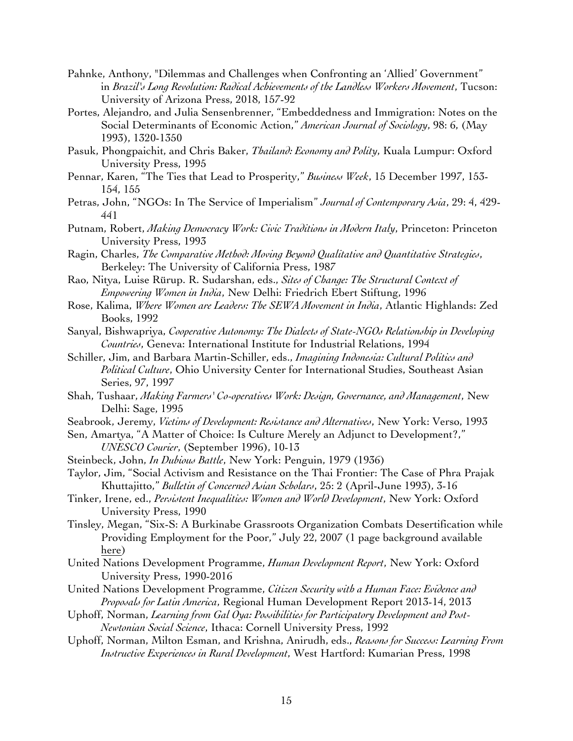- Pahnke, Anthony, "Dilemmas and Challenges when Confronting an 'Allied' Government" in *Brazil's Long Revolution: Radical Achievements of the Landless Workers Movement*, Tucson: University of Arizona Press, 2018, 157-92
- Portes, Alejandro, and Julia Sensenbrenner, "Embeddedness and Immigration: Notes on the Social Determinants of Economic Action," *American Journal of Sociology*, 98: 6, (May 1993), 1320-1350
- Pasuk, Phongpaichit, and Chris Baker, *Thailand: Economy and Polity*, Kuala Lumpur: Oxford University Press, 1995
- Pennar, Karen, "The Ties that Lead to Prosperity," *Business Week*, 15 December 1997, 153- 154, 155
- Petras, John, "NGOs: In The Service of Imperialism" *Journal of Contemporary Asia*, 29: 4, 429- 441
- Putnam, Robert, *Making Democracy Work: Civic Traditions in Modern Italy*, Princeton: Princeton University Press, 1993
- Ragin, Charles, *The Comparative Method: Moving Beyond Qualitative and Quantitative Strategies*, Berkeley: The University of California Press, 1987
- Rao, Nitya, Luise Rürup. R. Sudarshan, eds., *Sites of Change: The Structural Context of Empowering Women in India*, New Delhi: Friedrich Ebert Stiftung, 1996
- Rose, Kalima, *Where Women are Leaders: The SEWA Movement in India*, Atlantic Highlands: Zed Books, 1992
- Sanyal, Bishwapriya, *Cooperative Autonomy: The Dialects of State-NGOs Relationship in Developing Countries*, Geneva: International Institute for Industrial Relations, 1994
- Schiller, Jim, and Barbara Martin-Schiller, eds., *Imagining Indonesia: Cultural Politics and Political Culture*, Ohio University Center for International Studies, Southeast Asian Series, 97, 1997
- Shah, Tushaar, *Making Farmers' Co-operatives Work: Design, Governance, and Management*, New Delhi: Sage, 1995
- Seabrook, Jeremy, *Victims of Development: Resistance and Alternatives*, New York: Verso, 1993
- Sen, Amartya, "A Matter of Choice: Is Culture Merely an Adjunct to Development?," *UNESCO Courier*, (September 1996), 10-13
- Steinbeck, John, *In Dubious Battle*, New York: Penguin, 1979 (1936)
- Taylor, Jim, "Social Activism and Resistance on the Thai Frontier: The Case of Phra Prajak Khuttajitto," *Bulletin of Concerned Asian Scholars*, 25: 2 (April-June 1993), 3-16
- Tinker, Irene, ed., *Persistent Inequalities: Women and World Development*, New York: Oxford University Press, 1990
- Tinsley, Megan, "Six-S: A Burkinabe Grassroots Organization Combats Desertification while Providing Employment for the Poor," July 22, 2007 (1 page background available here)
- United Nations Development Programme, *Human Development Report*, New York: Oxford University Press, 1990-2016
- United Nations Development Programme, *Citizen Security with a Human Face: Evidence and Proposals for Latin America*, Regional Human Development Report 2013-14, 2013
- Uphoff, Norman, *Learning from Gal Oya: Possibilities for Participatory Development and Post-Newtonian Social Science*, Ithaca: Cornell University Press, 1992
- Uphoff, Norman, Milton Esman, and Krishna, Anirudh, eds., *Reasons for Success: Learning From Instructive Experiences in Rural Development*, West Hartford: Kumarian Press, 1998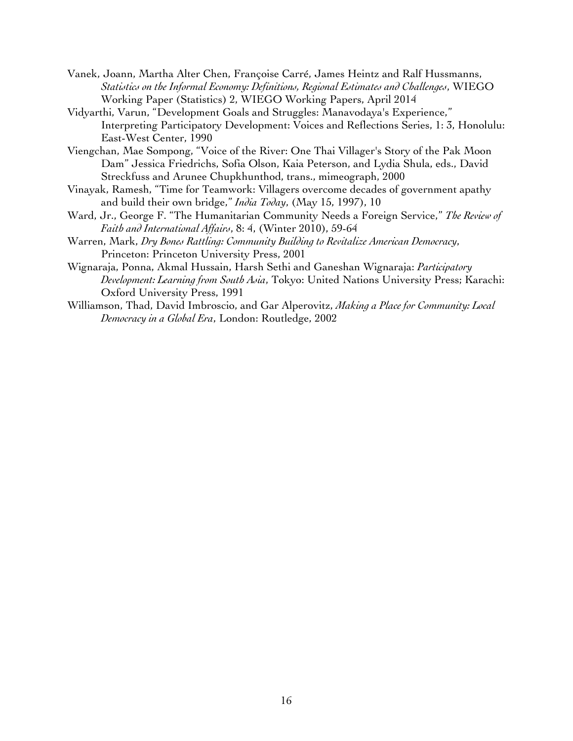- Vanek, Joann, Martha Alter Chen, Françoise Carré, James Heintz and Ralf Hussmanns, *Statistics on the Informal Economy: Definitions, Regional Estimates and Challenges*, WIEGO Working Paper (Statistics) 2, WIEGO Working Papers, April 2014
- Vidyarthi, Varun, "Development Goals and Struggles: Manavodaya's Experience," Interpreting Participatory Development: Voices and Reflections Series, 1: 3, Honolulu: East-West Center, 1990
- Viengchan, Mae Sompong, "Voice of the River: One Thai Villager's Story of the Pak Moon Dam" Jessica Friedrichs, Sofia Olson, Kaia Peterson, and Lydia Shula, eds., David Streckfuss and Arunee Chupkhunthod, trans., mimeograph, 2000
- Vinayak, Ramesh, "Time for Teamwork: Villagers overcome decades of government apathy and build their own bridge," *India Today*, (May 15, 1997), 10
- Ward, Jr., George F. "The Humanitarian Community Needs a Foreign Service," *The Review of Faith and International Affairs*, 8: 4, (Winter 2010), 59-64
- Warren, Mark, *Dry Bones Rattling: Community Building to Revitalize American Democracy*, Princeton: Princeton University Press, 2001
- Wignaraja, Ponna, Akmal Hussain, Harsh Sethi and Ganeshan Wignaraja: *Participatory Development: Learning from South Asia*, Tokyo: United Nations University Press; Karachi: Oxford University Press, 1991
- Williamson, Thad, David Imbroscio, and Gar Alperovitz, *Making a Place for Community: Local Democracy in a Global Era*, London: Routledge, 2002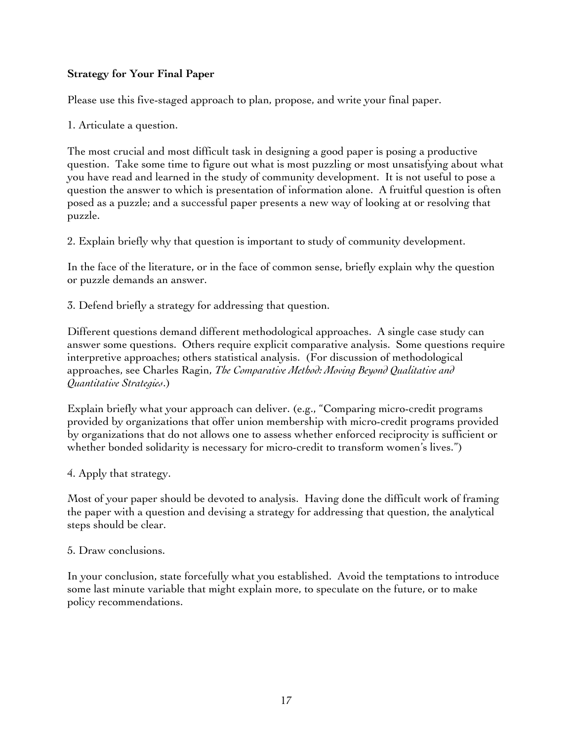# **Strategy for Your Final Paper**

Please use this five-staged approach to plan, propose, and write your final paper.

1. Articulate a question.

The most crucial and most difficult task in designing a good paper is posing a productive question. Take some time to figure out what is most puzzling or most unsatisfying about what you have read and learned in the study of community development. It is not useful to pose a question the answer to which is presentation of information alone. A fruitful question is often posed as a puzzle; and a successful paper presents a new way of looking at or resolving that puzzle.

2. Explain briefly why that question is important to study of community development.

In the face of the literature, or in the face of common sense, briefly explain why the question or puzzle demands an answer.

3. Defend briefly a strategy for addressing that question.

Different questions demand different methodological approaches. A single case study can answer some questions. Others require explicit comparative analysis. Some questions require interpretive approaches; others statistical analysis. (For discussion of methodological approaches, see Charles Ragin, *The Comparative Method: Moving Beyond Qualitative and Quantitative Strategies*.)

Explain briefly what your approach can deliver. (e.g., "Comparing micro-credit programs provided by organizations that offer union membership with micro-credit programs provided by organizations that do not allows one to assess whether enforced reciprocity is sufficient or whether bonded solidarity is necessary for micro-credit to transform women's lives.")

4. Apply that strategy.

Most of your paper should be devoted to analysis. Having done the difficult work of framing the paper with a question and devising a strategy for addressing that question, the analytical steps should be clear.

5. Draw conclusions.

In your conclusion, state forcefully what you established. Avoid the temptations to introduce some last minute variable that might explain more, to speculate on the future, or to make policy recommendations.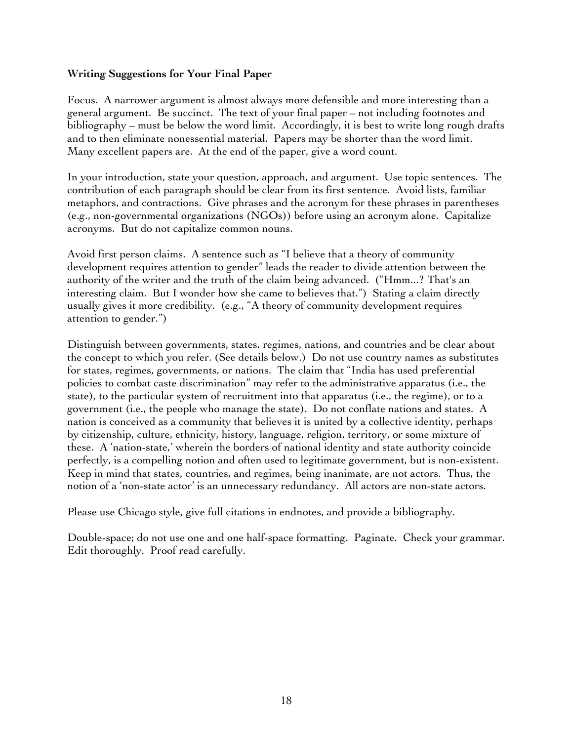## **Writing Suggestions for Your Final Paper**

Focus. A narrower argument is almost always more defensible and more interesting than a general argument. Be succinct. The text of your final paper – not including footnotes and bibliography – must be below the word limit. Accordingly, it is best to write long rough drafts and to then eliminate nonessential material. Papers may be shorter than the word limit. Many excellent papers are. At the end of the paper, give a word count.

In your introduction, state your question, approach, and argument. Use topic sentences. The contribution of each paragraph should be clear from its first sentence. Avoid lists, familiar metaphors, and contractions. Give phrases and the acronym for these phrases in parentheses (e.g., non-governmental organizations (NGOs)) before using an acronym alone. Capitalize acronyms. But do not capitalize common nouns.

Avoid first person claims. A sentence such as "I believe that a theory of community development requires attention to gender" leads the reader to divide attention between the authority of the writer and the truth of the claim being advanced. ("Hmm...? That's an interesting claim. But I wonder how she came to believes that.") Stating a claim directly usually gives it more credibility. (e.g., "A theory of community development requires attention to gender.")

Distinguish between governments, states, regimes, nations, and countries and be clear about the concept to which you refer. (See details below.) Do not use country names as substitutes for states, regimes, governments, or nations. The claim that "India has used preferential policies to combat caste discrimination" may refer to the administrative apparatus (i.e., the state), to the particular system of recruitment into that apparatus (i.e., the regime), or to a government (i.e., the people who manage the state). Do not conflate nations and states. A nation is conceived as a community that believes it is united by a collective identity, perhaps by citizenship, culture, ethnicity, history, language, religion, territory, or some mixture of these. A 'nation-state,' wherein the borders of national identity and state authority coincide perfectly, is a compelling notion and often used to legitimate government, but is non-existent. Keep in mind that states, countries, and regimes, being inanimate, are not actors. Thus, the notion of a 'non-state actor' is an unnecessary redundancy. All actors are non-state actors.

Please use Chicago style, give full citations in endnotes, and provide a bibliography.

Double-space; do not use one and one half-space formatting. Paginate. Check your grammar. Edit thoroughly. Proof read carefully.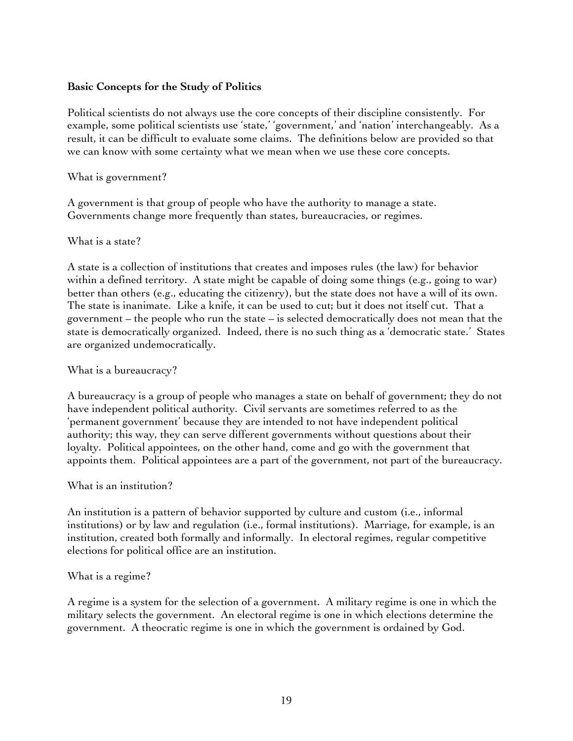## **Basic Concepts for the Study of Politics**

Political scientists do not always use the core concepts of their discipline consistently. For example, some political scientists use 'state,' 'government,' and 'nation' interchangeably. As a result, it can be difficult to evaluate some claims. The definitions below are provided so that we can know with some certainty what we mean when we use these core concepts.

## What is government?

A government is that group of people who have the authority to manage a state. Governments change more frequently than states, bureaucracies, or regimes.

#### What is a state?

A state is a collection of institutions that creates and imposes rules (the law) for behavior within a defined territory. A state might be capable of doing some things (e.g., going to war) better than others (e.g., educating the citizenry), but the state does not have a will of its own. The state is inanimate. Like a knife, it can be used to cut; but it does not itself cut. That a government – the people who run the state – is selected democratically does not mean that the state is democratically organized. Indeed, there is no such thing as a 'democratic state.' States are organized undemocratically.

## What is a bureaucracy?

A bureaucracy is a group of people who manages a state on behalf of government; they do not have independent political authority. Civil servants are sometimes referred to as the 'permanent government' because they are intended to not have independent political authority; this way, they can serve different governments without questions about their loyalty. Political appointees, on the other hand, come and go with the government that appoints them. Political appointees are a part of the government, not part of the bureaucracy.

## What is an institution?

An institution is a pattern of behavior supported by culture and custom (i.e., informal institutions) or by law and regulation (i.e., formal institutions). Marriage, for example, is an institution, created both formally and informally. In electoral regimes, regular competitive elections for political office are an institution.

#### What is a regime?

A regime is a system for the selection of a government. A military regime is one in which the military selects the government. An electoral regime is one in which elections determine the government. A theocratic regime is one in which the government is ordained by God.